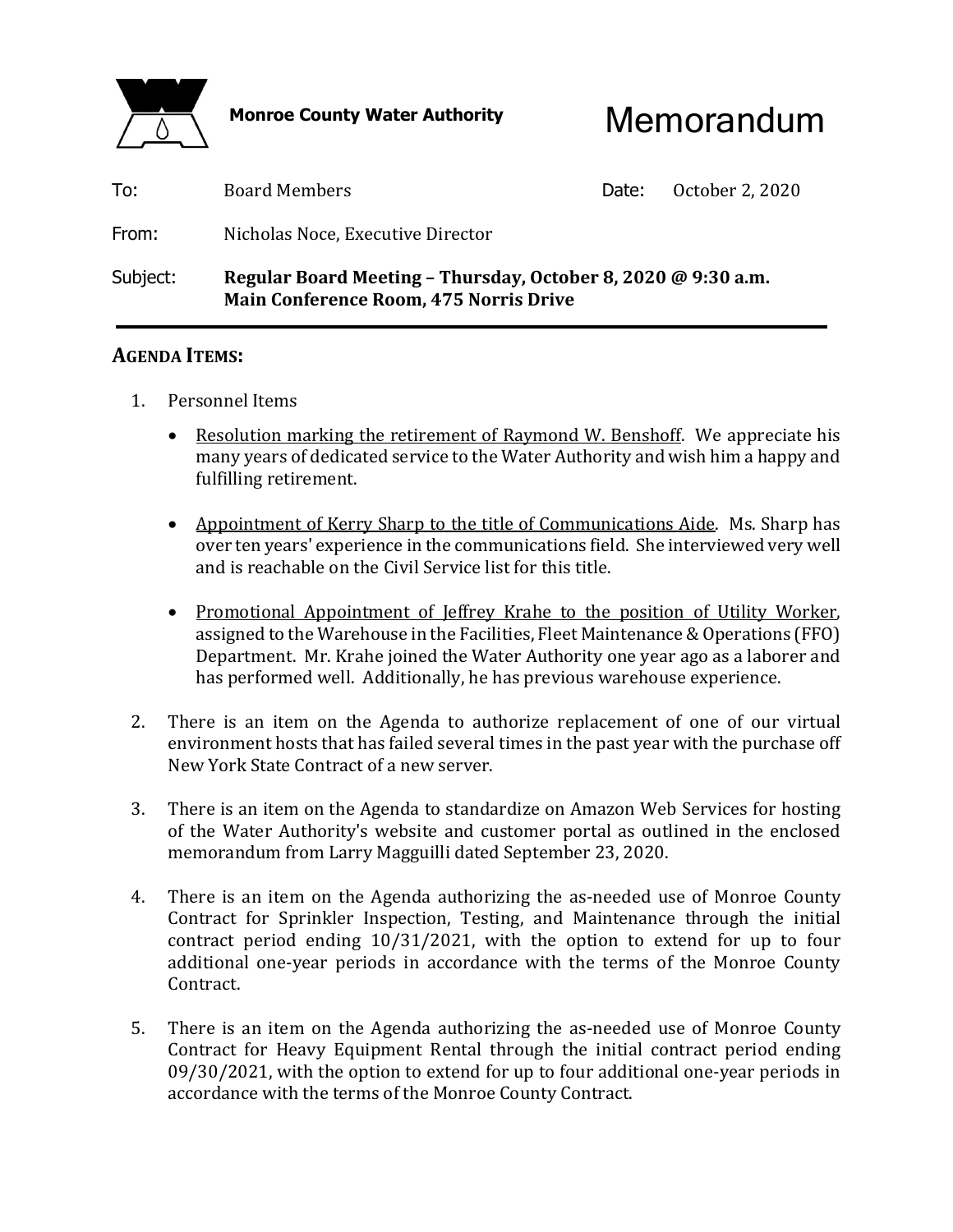

Monroe County Water Authority **Memorandum** 

| To:      | Board Members                                                                                                  | Date: | October 2, 2020 |
|----------|----------------------------------------------------------------------------------------------------------------|-------|-----------------|
| From:    | Nicholas Noce, Executive Director                                                                              |       |                 |
| Subject: | Regular Board Meeting - Thursday, October 8, 2020 @ 9:30 a.m.<br><b>Main Conference Room, 475 Norris Drive</b> |       |                 |

## **AGENDA ITEMS:**

- 1. Personnel Items
	- Resolution marking the retirement of Raymond W. Benshoff. We appreciate his many years of dedicated service to the Water Authority and wish him a happy and fulfilling retirement.
	- Appointment of Kerry Sharp to the title of Communications Aide. Ms. Sharp has over ten years' experience in the communications field. She interviewed very well and is reachable on the Civil Service list for this title.
	- Promotional Appointment of Jeffrey Krahe to the position of Utility Worker, assigned to the Warehouse in the Facilities, Fleet Maintenance & Operations (FFO) Department. Mr. Krahe joined the Water Authority one year ago as a laborer and has performed well. Additionally, he has previous warehouse experience.
- 2. There is an item on the Agenda to authorize replacement of one of our virtual environment hosts that has failed several times in the past year with the purchase off New York State Contract of a new server.
- 3. There is an item on the Agenda to standardize on Amazon Web Services for hosting of the Water Authority's website and customer portal as outlined in the enclosed memorandum from Larry Magguilli dated September 23, 2020.
- 4. There is an item on the Agenda authorizing the as-needed use of Monroe County Contract for Sprinkler Inspection, Testing, and Maintenance through the initial contract period ending 10/31/2021, with the option to extend for up to four additional one-year periods in accordance with the terms of the Monroe County Contract.
- 5. There is an item on the Agenda authorizing the as-needed use of Monroe County Contract for Heavy Equipment Rental through the initial contract period ending 09/30/2021, with the option to extend for up to four additional one-year periods in accordance with the terms of the Monroe County Contract.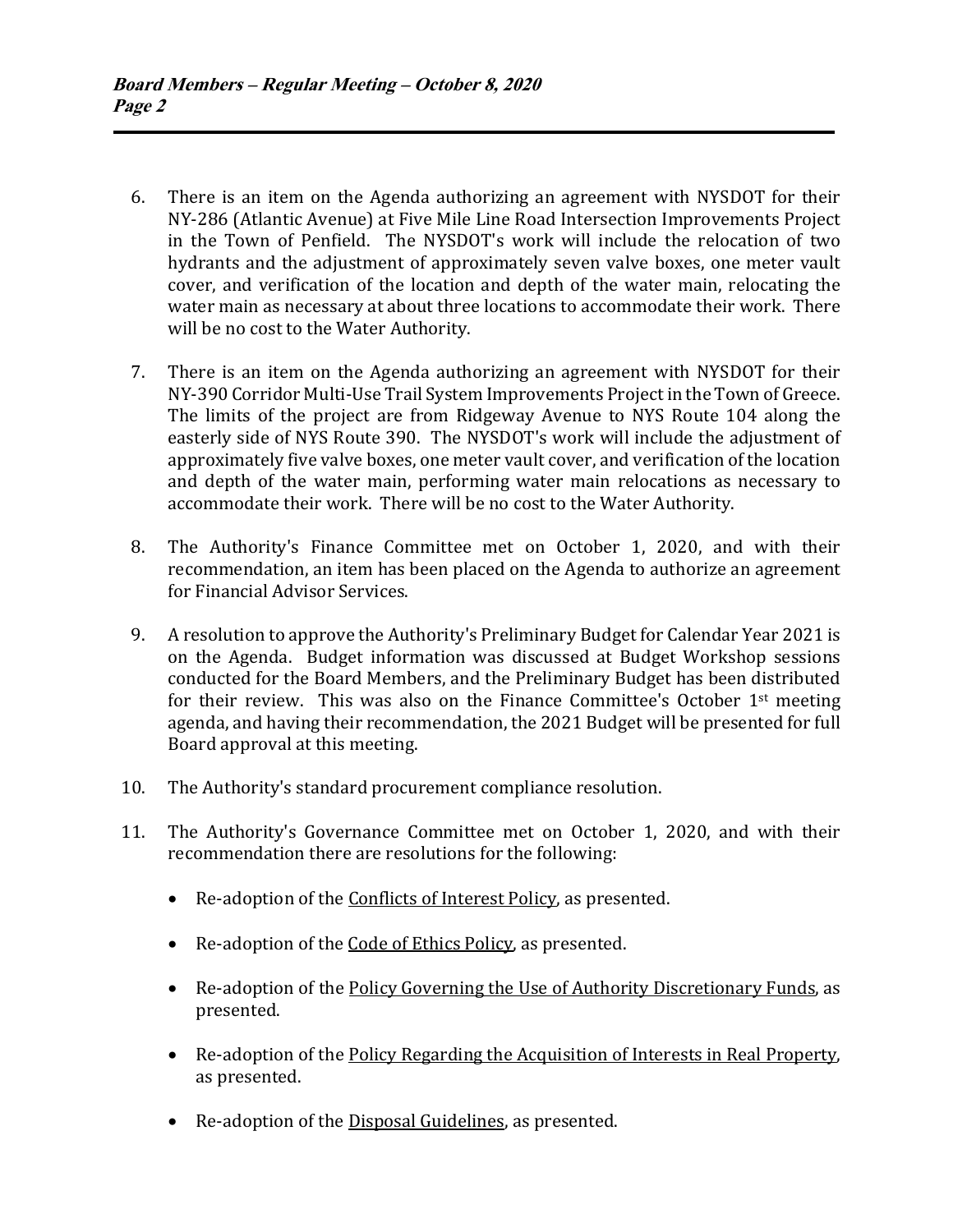- 6. There is an item on the Agenda authorizing an agreement with NYSDOT for their NY-286 (Atlantic Avenue) at Five Mile Line Road Intersection Improvements Project in the Town of Penfield. The NYSDOT's work will include the relocation of two hydrants and the adjustment of approximately seven valve boxes, one meter vault cover, and verification of the location and depth of the water main, relocating the water main as necessary at about three locations to accommodate their work. There will be no cost to the Water Authority.
- 7. There is an item on the Agenda authorizing an agreement with NYSDOT for their NY-390 Corridor Multi-Use Trail System Improvements Project in the Town of Greece. The limits of the project are from Ridgeway Avenue to NYS Route 104 along the easterly side of NYS Route 390. The NYSDOT's work will include the adjustment of approximately five valve boxes, one meter vault cover, and verification of the location and depth of the water main, performing water main relocations as necessary to accommodate their work. There will be no cost to the Water Authority.
- 8. The Authority's Finance Committee met on October 1, 2020, and with their recommendation, an item has been placed on the Agenda to authorize an agreement for Financial Advisor Services.
- 9. A resolution to approve the Authority's Preliminary Budget for Calendar Year 2021 is on the Agenda. Budget information was discussed at Budget Workshop sessions conducted for the Board Members, and the Preliminary Budget has been distributed for their review. This was also on the Finance Committee's October 1st meeting agenda, and having their recommendation, the 2021 Budget will be presented for full Board approval at this meeting.
- 10. The Authority's standard procurement compliance resolution.
- 11. The Authority's Governance Committee met on October 1, 2020, and with their recommendation there are resolutions for the following:
	- Re-adoption of the Conflicts of Interest Policy, as presented.
	- Re-adoption of the Code of Ethics Policy, as presented.
	- Re-adoption of the Policy Governing the Use of Authority Discretionary Funds, as presented.
	- Re-adoption of the Policy Regarding the Acquisition of Interests in Real Property, as presented.
	- Re-adoption of the Disposal Guidelines, as presented.